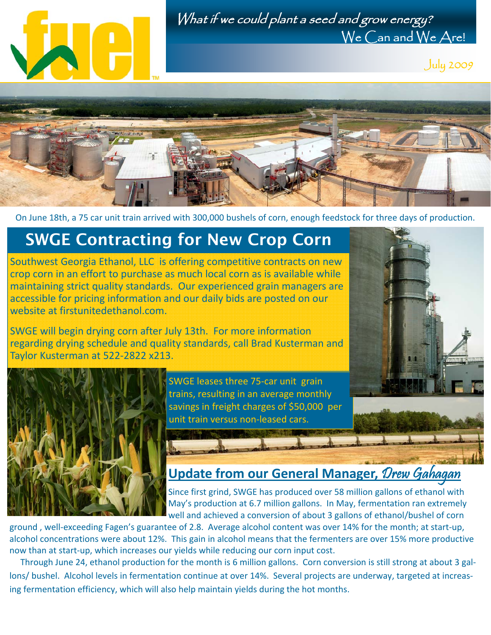



July 2009



On June 18th, a 75 car unit train arrived with 300,000 bushels of corn, enough feedstock for three days of production.

## **SWGE Contracting for New Crop Corn**

Southwest Georgia Ethanol, LLC is offering competitive contracts on new crop corn in an effort to purchase as much local corn as is available while maintaining strict quality standards. Our experienced grain managers are accessible for pricing information and our daily bids are posted on our website at firstunitedethanol.com.

SWGE will begin drying corn after July 13th. For more information regarding drying schedule and quality standards, call Brad Kusterman and Taylor Kusterman at 522‐2822 x213.



SWGE leases three 75‐car unit grain trains, resulting in an average monthly savings in freight charges of \$50,000 per unit train versus non‐leased cars.



## **Update from our General Manager,** Drew Gahagan

Since first grind, SWGE has produced over 58 million gallons of ethanol with May's production at 6.7 million gallons. In May, fermentation ran extremely well and achieved a conversion of about 3 gallons of ethanol/bushel of corn

ground , well‐exceeding Fagen's guarantee of 2.8. Average alcohol content was over 14% for the month; at start‐up, alcohol concentrations were about 12%. This gain in alcohol means that the fermenters are over 15% more productive now than at start‐up, which increases our yields while reducing our corn input cost.

Through June 24, ethanol production for the month is 6 million gallons. Corn conversion is still strong at about 3 gallons/ bushel. Alcohol levels in fermentation continue at over 14%. Several projects are underway, targeted at increas‐ ing fermentation efficiency, which will also help maintain yields during the hot months.